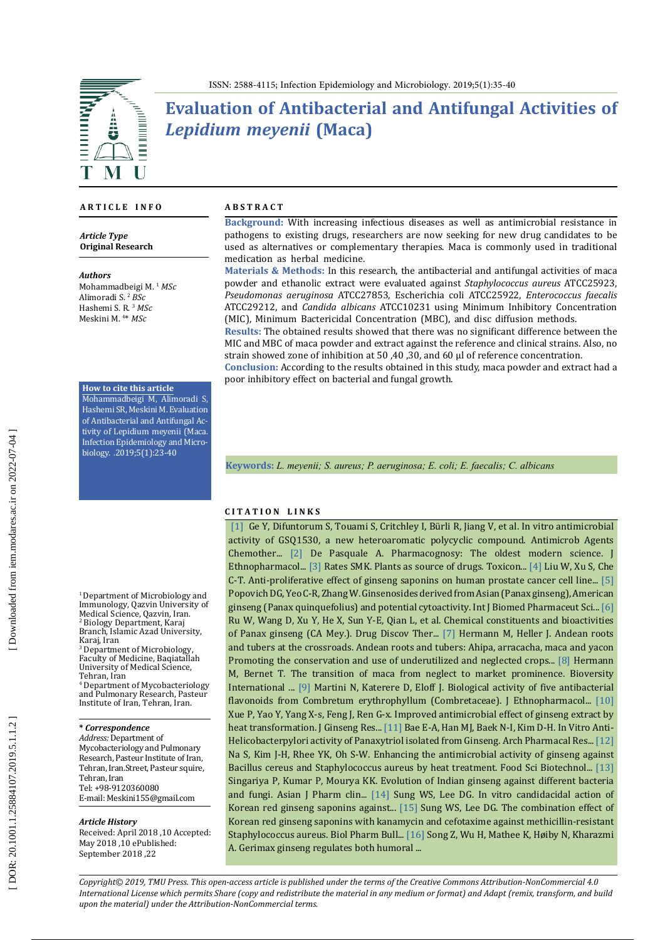

# **Evaluation of Antibacterial and Antifungal Activities of**  *Lepidium meyenii* **(Maca)**

#### **A R T I C L E I N F O**

*Article Type* **Original Research**

*Authors* Mohammadbeigi M. <sup>1</sup> *MSc* Alimoradi S. <sup>2</sup> *BSc* Hashemi S. R. <sup>3</sup> *MSc* Meskini M. 4 \* *MSc*

#### **How to cite this article**

Mohammadbeigi M, Alimoradi S, Hashemi SR, Meskini M. Evaluation of Antibacterial and Antifungal Ac tivity of Lepidium meyenii (Maca. Infection Epidemiology and Micro biology. .2019;5(1):23-40

<sup>1</sup> Department of Microbiology and Immunology, Qazvin University of Medical Science, Qazvin, Iran.<br><sup>2</sup> Biology Department, Karaj Branch, Islamic Azad University, Karaj, Iran<br><sup>3</sup> Department of Microbiology,

Faculty of Medicine, Baqiatallah University of Medical Science, Tehran, Iran<br><sup>4</sup> Department of Mycobacteriology

and Pulmonary Research, Pasteur Institute of Iran, Tehran, Iran.

### **\*** *Correspondence*

*Address:* Department of Mycobacteriology and Pulmonary Research, Pasteur Institute of Iran, Tehran, Iran.Street, Pasteur squire, Tehran, Iran Tel: +98-9120360080 E-mail: Meskini155@gmail.com

#### *Article History*

Received: April 2018 ,10 Accepted: May 2018 ,10 ePublished: September 2018 ,22

#### **A B S T R A C T**

**Background:** With increasing infectious diseases as well as antimicrobial resistance in pathogens to existing drugs, researchers are now seeking for new drug candidates to be used as alternatives or complementary therapies. Maca is commonly used in traditional medication as herbal medicine.

**Materials & Methods:** In this research, the antibacterial and antifungal activities of maca powder and ethanolic extract were evaluated against *Staphylococcus aureus* ATCC25923, *Pseudomonas aeruginosa* ATCC27853, Escherichia coli ATCC25922, *Enterococcus faecalis*  ATCC29212, and *Candida albicans* ATCC10231 using Minimum Inhibitory Concentration (MIC), Minimum Bactericidal Concentration (MBC), and disc diffusion methods.

**Results:** The obtained results showed that there was no significant difference between the MIC and MBC of maca powder and extract against the reference and clinical strains. Also, no strain showed zone of inhibition at 50 ,40 ,30, and 60 µl of reference concentration.

**Conclusion:** According to the results obtained in this study, maca powder and extract had a poor inhibitory effect on bacterial and fungal growth.

**Keywords:** *L. meyenii; S. aureus; P. aeruginosa; E. coli; E. faecalis; C. albicans*

#### **C I T A T I O N L I N K S**

 [\[1\]](https://www.ncbi.nlm.nih.gov/m/pubmed/12234840/) Ge Y, Difuntorum S, Touami S, Critchley I, Bürli R, Jiang V, et al. In vitro antimicrobial activity of GSQ1530, a new heteroaromatic polycyclic compound. Antimicrob Agents Chemother... [\[2\]](https://www.ncbi.nlm.nih.gov/pubmed/6381886) De Pasquale A. Pharmacognosy: The oldest modern science. J Ethnopharmacol... [\[3\]](https://www.ncbi.nlm.nih.gov/pubmed/11072038) Rates SMK. Plants as source of drugs. Toxicon... [\[4\]](https://www.ncbi.nlm.nih.gov/pubmed/10972198) Liu W, Xu S, Che C-T. Anti-proliferative effect of ginseng saponins on human prostate cancer cell line... [\[5\]](https://pdfs.semanticscholar.org/981c/5d662e10af99fa4c1173e0930404a23fb99b.pdf)  Popovich DG, Yeo C-R, Zhang W. Ginsenosides derived from Asian (Panax ginseng), American ginseng (Panax quinquefolius) and potential cytoactivity. Int J Biomed Pharmaceut Sci... [\[6\]](https://www.ncbi.nlm.nih.gov/pubmed/25788049)  Ru W, Wang D, Xu Y, He X, Sun Y-E, Qian L, et al. Chemical constituents and bioactivities of Panax ginseng (CA Mey.). Drug Discov Ther... [\[7\]](http://agris.fao.org/agris-search/search.do?recordID=QJ1998000043) Hermann M, Heller J. Andean roots and tubers at the crossroads. Andean roots and tubers: Ahipa, arracacha, maca and yacon Promoting the conservation and use of underutilized and neglected crops... [\[8\]](https://www.bioversityinternational.org/fileadmin/_migrated/uploads/tx_news/The_transition_of_maca_from_neglect_to_market_prominence__nbsp_lessons_for_improving_use_strategies_and_market_chains_of_minor_crops_1318.pdf) Hermann M, Bernet T. The transition of maca from neglect to market prominence. Bioversity International ... [\[9\]](https://www.ncbi.nlm.nih.gov/pubmed/15234754) Martini N, Katerere D, Eloff J. Biological activity of five antibacterial flavonoids from Combretum erythrophyllum (Combretaceae). J Ethnopharmacol... [10] Xue P, Yao Y, Yang X-s, Feng J, Ren G-x. Improved antimicrobial effect of ginseng extract by heat transformation. J Ginseng Res... [\[11\]](https://www.researchgate.net/publication/11811161_In_Vitro_Anti-Helicobacterpylori_activity_of_Panaxytriol_isolated_from_Ginseng) Bae E-A, Han MJ, Baek N-I, Kim D-H. In Vitro Anti-Helicobacterpylori activity of Panaxytriol isolated from Ginseng. Arch Pharmacal Res... [\[12\]](https://www.ncbi.nlm.nih.gov/pubmed/30263741)  Na S, Kim J-H, Rhee YK, Oh S-W. Enhancing the antimicrobial activity of ginseng against Bacillus cereus and Staphylococcus aureus by heat treatment. Food Sci Biotechnol... [\[13\]](https://www.academia.edu/24835377/EVOLUTION_OF_INDIAN_GINSENG_AGAINST_DIFFERENT_BACTERIA_AND_FUNGI)  Singariya P, Kumar P, Mourya KK. Evolution of Indian ginseng against different bacteria and fungi. Asian J Pharm clin... [\[14\]](https://www.ncbi.nlm.nih.gov/pubmed/18175957) Sung WS, Lee DG. In vitro candidacidal action of Korean red ginseng saponins against... [\[15\]](https://www.ncbi.nlm.nih.gov/pubmed/18670099) Sung WS, Lee DG. The combination effect of Korean red ginseng saponins with kanamycin and cefotaxime against methicillin-resistant Staphylococcus aureus. Biol Pharm Bull... [\[16\] S](https://www.ncbi.nlm.nih.gov/pubmed/12230906)ong Z, Wu H, Mathee K, Høiby N, Kharazmi A. Gerimax ginseng regulates both humoral ...

*Copyright© 2019, TMU Press. This open-access article is published under the terms of the Creative Commons Attribution-NonCommercial 4.0 International License which permits Share (copy and redistribute the material in any medium or format) and Adapt (remix, transform, and build upon the material) under the Attribution-NonCommercial terms.*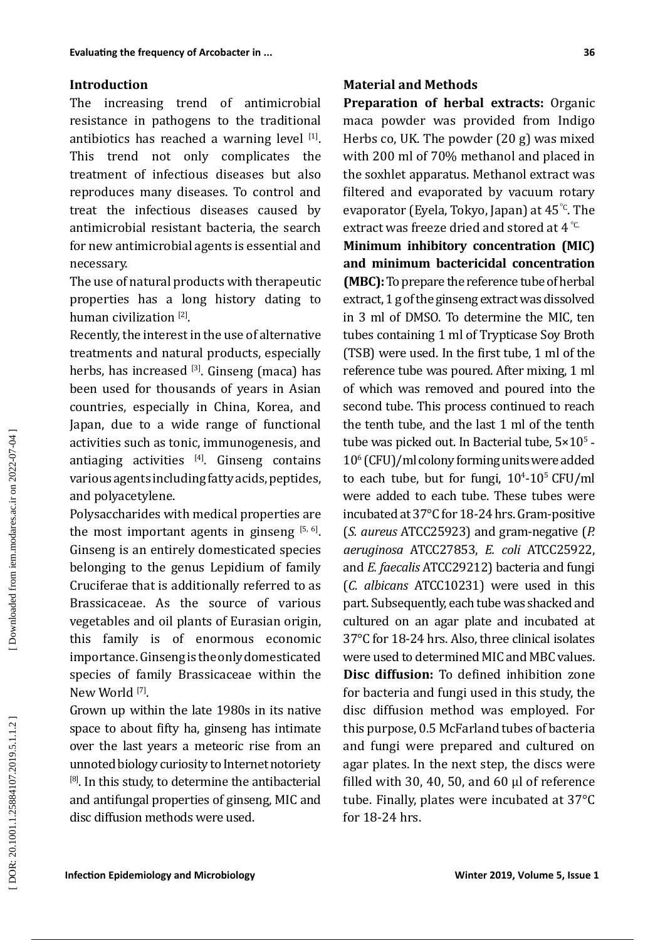## **Introduction**

The increasing trend of antimicrobial resistance in pathogens to the traditional antibiotics has reached a warning level [1]. This trend not only complicates the treatment of infectious diseases but also reproduces many diseases. To control and treat the infectious diseases caused by antimicrobial resistant bacteria, the search for new antimicrobial agents is essential and necessary.

The use of natural products with therapeutic properties has a long history dating to human civilization [2].

Recently, the interest in the use of alternative treatments and natural products, especially herbs, has increased  $[3]$ . Ginseng (maca) has been used for thousands of years in Asian countries, especially in China, Korea, and Japan, due to a wide range of functional activities such as tonic, immunogenesis, and antiaging activities  $[4]$ . Ginseng contains various agents including fatty acids, peptides, and polyacetylene.

Polysaccharides with medical properties are the most important agents in ginseng  $[5, 6]$ . Ginseng is an entirely domesticated species belonging to the genus Lepidium of family Cruciferae that is additionally referred to as Brassicaceae. As the source of various vegetables and oil plants of Eurasian origin, this family is of enormous economic importance. Ginseng is the only domesticated species of family Brassicaceae within the New World <sup>[7]</sup>.

Grown up within the late 1980s in its native space to about fifty ha, ginseng has intimate over the last years a meteoric rise from an unnoted biology curiosity to Internet notoriety  $[8]$ . In this study, to determine the antibacterial and antifungal properties of ginseng, MIC and disc diffusion methods were used.

**Preparation of herbal extracts:** Organic maca powder was provided from Indigo Herbs co, UK. The powder (20 g) was mixed with 200 ml of 70% methanol and placed in the soxhlet apparatus. Methanol extract was filtered and evaporated by vacuum rotary evaporator (Eyela, Tokyo, Japan) at 45°C. The extract was freeze dried and stored at 4  $^{\circ}$  C **Minimum inhibitory concentration (MIC)** 

**and minimum bactericidal concentration (MBC):** To prepare the reference tube of herbal extract, 1 g of the ginseng extract was dissolved in 3 ml of DMSO. To determine the MIC, ten tubes containing 1 ml of Trypticase Soy Broth (TSB) were used. In the first tube, 1 ml of the reference tube was poured. After mixing, 1 ml of which was removed and poured into the second tube. This process continued to reach the tenth tube, and the last 1 ml of the tenth tube was picked out. In Bacterial tube,  $5\times10^{5}$  -10 6 (CFU)/ml colony forming units were added to each tube, but for fungi,  $10^4$ - $10^5$  CFU/ml were added to each tube. These tubes were incubated at 37°C for 18-24 hrs. Gram-positive (*S. aureus* ATCC25923) and gram-negative (*P. aeruginosa* ATCC27853, *E. coli* ATCC25922, and *E. faecalis* ATCC29212) bacteria and fungi (*C. albicans* ATCC10231) were used in this part. Subsequently, each tube was shacked and cultured on an agar plate and incubated at 37°C for 18-24 hrs. Also, three clinical isolates were used to determined MIC and MBC values. **Disc diffusion:** To defined inhibition zone for bacteria and fungi used in this study, the disc diffusion method was employed. For this purpose, 0.5 McFarland tubes of bacteria and fungi were prepared and cultured on agar plates. In the next step, the discs were filled with 30, 40, 50, and 60 µl of reference tube. Finally, plates were incubated at 37°C for 18-24 hrs.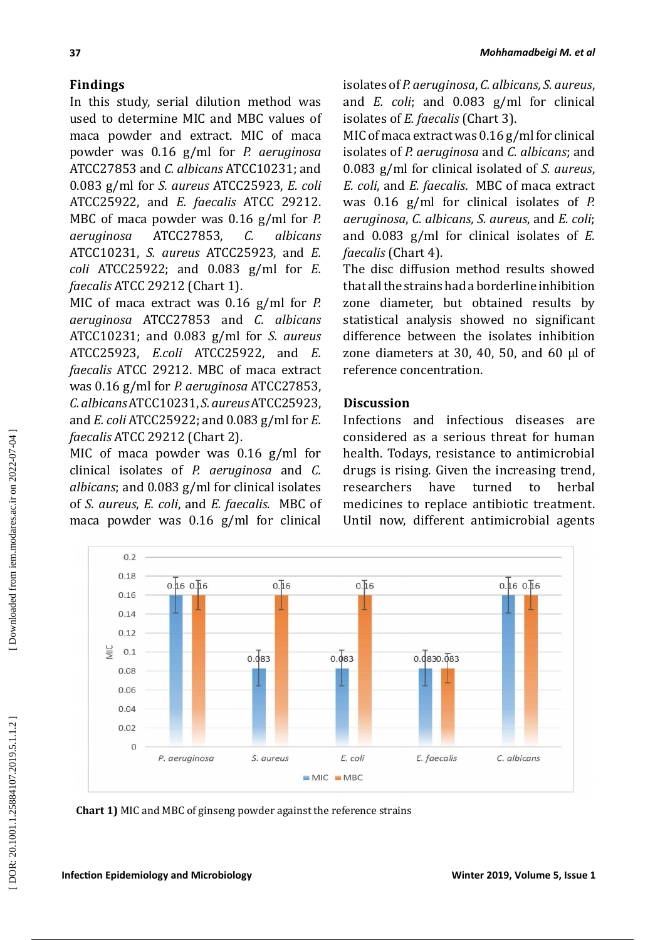# **Findings**

In this study, serial dilution method was used to determine MIC and MBC values of maca powder and extract. MIC of maca powder was 0.16 g/ml for *P. aeruginosa* ATCC27853 and *C. albicans* ATCC10231; and 0.083 g/ml for *S. aureus* ATCC25923, *E. coli* ATCC25922, and *E. faecalis* ATCC 29212. MBC of maca powder was 0.16 g/ml for *P. aeruginosa* ATCC27853, *C. albicans* ATCC10231, *S. aureus* ATCC25923, and *E. coli* ATCC25922; and 0.083 g/ml for *E. faecalis* ATCC 29212 (Chart 1).

MIC of maca extract was 0.16 g/ml for *P. aeruginosa* ATCC27853 and *C. albicans* ATCC10231; and 0.083 g/ml for *S. aureus* ATCC25923, *E.coli* ATCC25922, and *E. faecalis* ATCC 29212. MBC of maca extract was 0.16 g/ml for *P. aeruginosa* ATCC27853, *C. albicans* ATCC10231, *S. aureus* ATCC25923, and *E. coli* ATCC25922; and 0.083 g/ml for *E. faecalis* ATCC 29212 (Chart 2).

MIC of maca powder was 0.16 g/ml for clinical isolates of *P. aeruginosa* and *C. albicans*; and 0.083 g/ml for clinical isolates of *S. aureus*, *E. coli*, and *E. faecalis*. MBC of maca powder was 0.16 g/ml for clinical

 $0.160.16$ 

 $0.2$  $0.18$ 

0.16  $0.14$  $0.12$ 

 $0.08$ 

 $rac{C}{\sqrt{2}}$  $0.1$  isolates of *P. aeruginosa*, *C. albicans, S. aureus*, and *E. coli*; and 0.083 g/ml for clinical isolates of *E. faecalis* (Chart 3).

MIC of maca extract was  $0.16$  g/ml for clinical isolates of *P. aeruginosa* and *C. albicans*; and 0.083 g/ml for clinical isolated of *S. aureus*, *E. coli*, and *E. faecalis*. MBC of maca extract was 0.16 g/ml for clinical isolates of *P. aeruginosa*, *C. albicans, S. aureus*, and *E. coli*; and 0.083 g/ml for clinical isolates of *E. faecalis* (Chart 4).

The disc diffusion method results showed that all the strains had a borderline inhibition zone diameter, but obtained results by statistical analysis showed no significant difference between the isolates inhibition zone diameters at 30, 40, 50, and 60  $\mu$ l of reference concentration.

# **Discussion**

 $0.\overline{4}6$ 

 $0.083$ 

Infections and infectious diseases are considered as a serious threat for human health. Todays, resistance to antimicrobial drugs is rising. Given the increasing trend, researchers have turned to herbal medicines to replace antibiotic treatment. Until now, different antimicrobial agents

 $0.0830.\overline{0}83$ 



 $0.083$ 

 $0.\overline{4}6$ 

**Chart 1)** MIC and MBC of ginseng powder against the reference strains

C. albicans

 $0.160.16$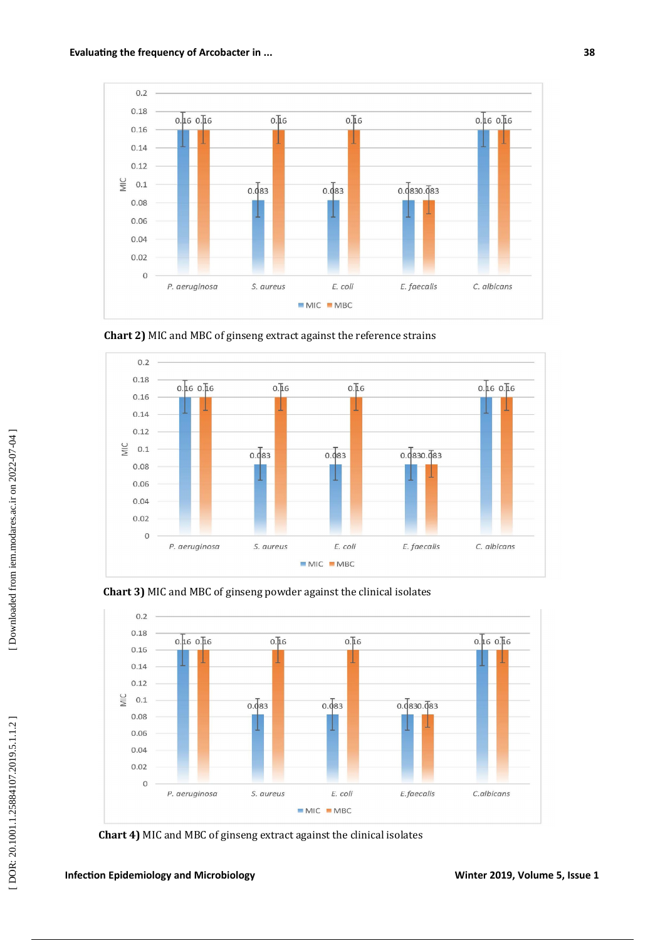



**Chart 2)** MIC and MBC of ginseng extract against the reference strains





**Chart 4)** MIC and MBC of ginseng extract against the clinical isolates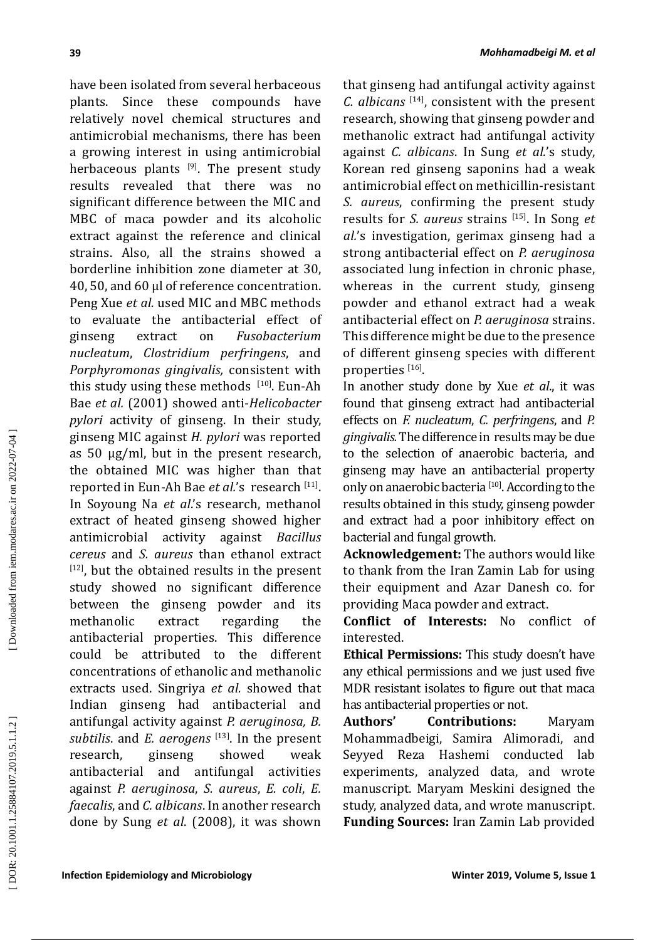have been isolated from several herbaceous plants. Since these compounds have relatively novel chemical structures and antimicrobial mechanisms, there has been a growing interest in using antimicrobial herbaceous plants  $[9]$ . The present study results revealed that there was no significant difference between the MIC and MBC of maca powder and its alcoholic extract against the reference and clinical strains. Also, all the strains showed a borderline inhibition zone diameter at 30, 40, 50, and 60 µl of reference concentration. Peng Xue *et al.* used MIC and MBC methods to evaluate the antibacterial effect of<br>ginseng extract on *Fusobacterium* extract on *Fusobacterium nucleatum*, *Clostridium perfringens*, and *Porphyromonas gingivalis,* consistent with this study using these methods  $[10]$ . Eun-Ah Bae *et al.* (2001) showed anti-*Helicobacter pylori* activity of ginseng. In their study, ginseng MIC against *H. pylori* was reported as 50 µg/ml, but in the present research, the obtained MIC was higher than that reported in Eun-Ah Bae *et al.*'s research [11]. In Soyoung Na *et al*.'s research, methanol extract of heated ginseng showed higher antimicrobial activity against *Bacillus cereus* and *S. aureus* than ethanol extract  $[12]$ , but the obtained results in the present study showed no significant difference between the ginseng powder and its methanolic extract regarding the antibacterial properties. This difference could be attributed to the different concentrations of ethanolic and methanolic extracts used. Singriya *et al.* showed that Indian ginseng had antibacterial and antifungal activity against *P. aeruginosa, B. subtilis*. and *E. aerogens* [13]. In the present research, ginseng showed weak antibacterial and antifungal activities against *P. aeruginosa*, *S. aureus*, *E. coli*, *E. faecalis*, and *C. albicans*. In another research done by Sung *et al*. (2008), it was shown

that ginseng had antifungal activity against *C. albicans* [14], consistent with the present research, showing that ginseng powder and methanolic extract had antifungal activity against *C. albicans*. In Sung *et al.*'s study, Korean red ginseng saponins had a weak antimicrobial effect on methicillin-resistant *S. aureus*, confirming the present study results for *S. aureus* strains [15]. In Song *et al.*'s investigation, gerimax ginseng had a strong antibacterial effect on *P. aeruginosa* associated lung infection in chronic phase, whereas in the current study, ginseng powder and ethanol extract had a weak antibacterial effect on *P. aeruginosa* strains. This difference might be due to the presence of different ginseng species with different properties <sup>[16]</sup>.

In another study done by Xue *et al*., it was found that ginseng extract had antibacterial effects on *F. nucleatum*, *C. perfringens*, and *P. gingivalis.* The difference in results may be due to the selection of anaerobic bacteria, and ginseng may have an antibacterial property only on anaerobic bacteria<sup>[10]</sup>. According to the results obtained in this study, ginseng powder and extract had a poor inhibitory effect on bacterial and fungal growth.

**Acknowledgement:** The authors would like to thank from the Iran Zamin Lab for using their equipment and Azar Danesh co. for providing Maca powder and extract.

**Conflict of Interests:** No conflict of interested.

**Ethical Permissions:** This study doesn't have any ethical permissions and we just used five MDR resistant isolates to figure out that maca has antibacterial properties or not.

**Authors' Contributions:** Maryam Mohammadbeigi, Samira Alimoradi, and Seyyed Reza Hashemi conducted lab experiments, analyzed data, and wrote manuscript. Maryam Meskini designed the study, analyzed data, and wrote manuscript. **Funding Sources:** Iran Zamin Lab provided